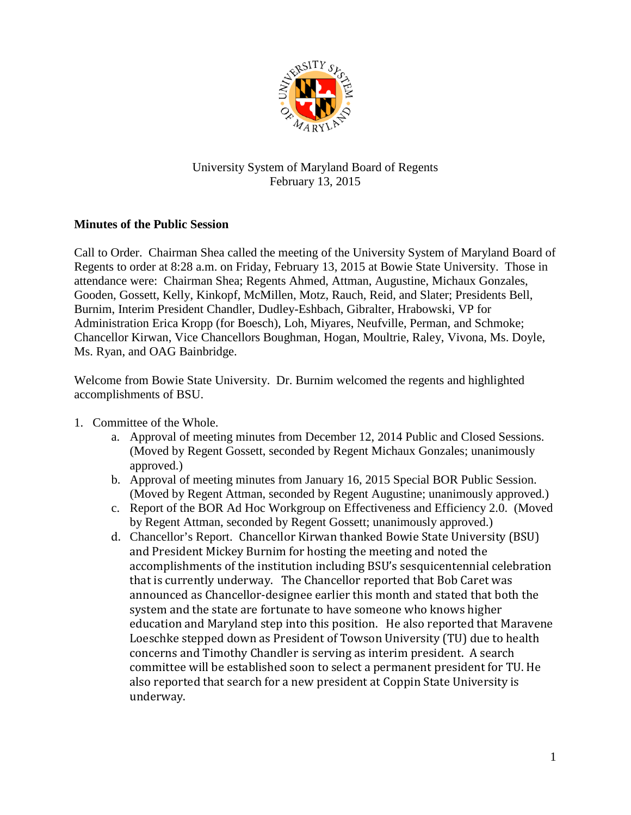

## University System of Maryland Board of Regents February 13, 2015

## **Minutes of the Public Session**

Call to Order. Chairman Shea called the meeting of the University System of Maryland Board of Regents to order at 8:28 a.m. on Friday, February 13, 2015 at Bowie State University. Those in attendance were: Chairman Shea; Regents Ahmed, Attman, Augustine, Michaux Gonzales, Gooden, Gossett, Kelly, Kinkopf, McMillen, Motz, Rauch, Reid, and Slater; Presidents Bell, Burnim, Interim President Chandler, Dudley-Eshbach, Gibralter, Hrabowski, VP for Administration Erica Kropp (for Boesch), Loh, Miyares, Neufville, Perman, and Schmoke; Chancellor Kirwan, Vice Chancellors Boughman, Hogan, Moultrie, Raley, Vivona, Ms. Doyle, Ms. Ryan, and OAG Bainbridge.

Welcome from Bowie State University. Dr. Burnim welcomed the regents and highlighted accomplishments of BSU.

- 1. Committee of the Whole.
	- a. Approval of meeting minutes from December 12, 2014 Public and Closed Sessions. (Moved by Regent Gossett, seconded by Regent Michaux Gonzales; unanimously approved.)
	- b. Approval of meeting minutes from January 16, 2015 Special BOR Public Session. (Moved by Regent Attman, seconded by Regent Augustine; unanimously approved.)
	- c. Report of the BOR Ad Hoc Workgroup on Effectiveness and Efficiency 2.0. (Moved by Regent Attman, seconded by Regent Gossett; unanimously approved.)
	- d. Chancellor's Report. Chancellor Kirwan thanked Bowie State University (BSU) and President Mickey Burnim for hosting the meeting and noted the accomplishments of the institution including BSU's sesquicentennial celebration that is currently underway. The Chancellor reported that Bob Caret was announced as Chancellor-designee earlier this month and stated that both the system and the state are fortunate to have someone who knows higher education and Maryland step into this position. He also reported that Maravene Loeschke stepped down as President of Towson University (TU) due to health concerns and Timothy Chandler is serving as interim president. A search committee will be established soon to select a permanent president for TU. He also reported that search for a new president at Coppin State University is underway.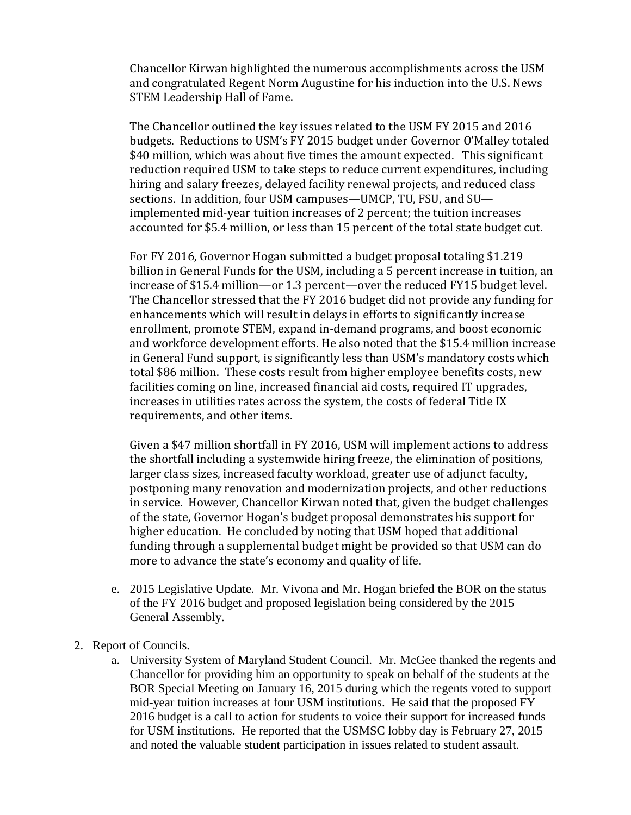Chancellor Kirwan highlighted the numerous accomplishments across the USM and congratulated Regent Norm Augustine for his induction into the U.S. News STEM Leadership Hall of Fame.

The Chancellor outlined the key issues related to the USM FY 2015 and 2016 budgets. Reductions to USM's FY 2015 budget under Governor O'Malley totaled \$40 million, which was about five times the amount expected. This significant reduction required USM to take steps to reduce current expenditures, including hiring and salary freezes, delayed facility renewal projects, and reduced class sections. In addition, four USM campuses—UMCP, TU, FSU, and SU implemented mid-year tuition increases of 2 percent; the tuition increases accounted for \$5.4 million, or less than 15 percent of the total state budget cut.

For FY 2016, Governor Hogan submitted a budget proposal totaling \$1.219 billion in General Funds for the USM, including a 5 percent increase in tuition, an increase of \$15.4 million—or 1.3 percent—over the reduced FY15 budget level. The Chancellor stressed that the FY 2016 budget did not provide any funding for enhancements which will result in delays in efforts to significantly increase enrollment, promote STEM, expand in-demand programs, and boost economic and workforce development efforts. He also noted that the \$15.4 million increase in General Fund support, is significantly less than USM's mandatory costs which total \$86 million. These costs result from higher employee benefits costs, new facilities coming on line, increased financial aid costs, required IT upgrades, increases in utilities rates across the system, the costs of federal Title IX requirements, and other items.

Given a \$47 million shortfall in FY 2016, USM will implement actions to address the shortfall including a systemwide hiring freeze, the elimination of positions, larger class sizes, increased faculty workload, greater use of adjunct faculty, postponing many renovation and modernization projects, and other reductions in service. However, Chancellor Kirwan noted that, given the budget challenges of the state, Governor Hogan's budget proposal demonstrates his support for higher education. He concluded by noting that USM hoped that additional funding through a supplemental budget might be provided so that USM can do more to advance the state's economy and quality of life.

- e. 2015 Legislative Update. Mr. Vivona and Mr. Hogan briefed the BOR on the status of the FY 2016 budget and proposed legislation being considered by the 2015 General Assembly.
- 2. Report of Councils.
	- a. University System of Maryland Student Council. Mr. McGee thanked the regents and Chancellor for providing him an opportunity to speak on behalf of the students at the BOR Special Meeting on January 16, 2015 during which the regents voted to support mid-year tuition increases at four USM institutions. He said that the proposed FY 2016 budget is a call to action for students to voice their support for increased funds for USM institutions. He reported that the USMSC lobby day is February 27, 2015 and noted the valuable student participation in issues related to student assault.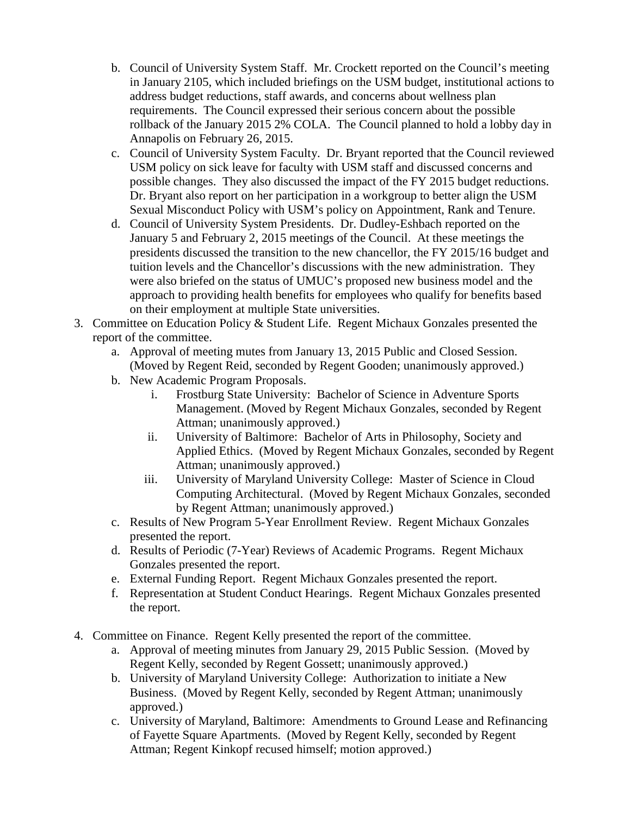- b. Council of University System Staff. Mr. Crockett reported on the Council's meeting in January 2105, which included briefings on the USM budget, institutional actions to address budget reductions, staff awards, and concerns about wellness plan requirements. The Council expressed their serious concern about the possible rollback of the January 2015 2% COLA. The Council planned to hold a lobby day in Annapolis on February 26, 2015.
- c. Council of University System Faculty. Dr. Bryant reported that the Council reviewed USM policy on sick leave for faculty with USM staff and discussed concerns and possible changes. They also discussed the impact of the FY 2015 budget reductions. Dr. Bryant also report on her participation in a workgroup to better align the USM Sexual Misconduct Policy with USM's policy on Appointment, Rank and Tenure.
- d. Council of University System Presidents. Dr. Dudley-Eshbach reported on the January 5 and February 2, 2015 meetings of the Council. At these meetings the presidents discussed the transition to the new chancellor, the FY 2015/16 budget and tuition levels and the Chancellor's discussions with the new administration. They were also briefed on the status of UMUC's proposed new business model and the approach to providing health benefits for employees who qualify for benefits based on their employment at multiple State universities.
- 3. Committee on Education Policy & Student Life. Regent Michaux Gonzales presented the report of the committee.
	- a. Approval of meeting mutes from January 13, 2015 Public and Closed Session. (Moved by Regent Reid, seconded by Regent Gooden; unanimously approved.)
	- b. New Academic Program Proposals.
		- i. Frostburg State University: Bachelor of Science in Adventure Sports Management. (Moved by Regent Michaux Gonzales, seconded by Regent Attman; unanimously approved.)
		- ii. University of Baltimore: Bachelor of Arts in Philosophy, Society and Applied Ethics. (Moved by Regent Michaux Gonzales, seconded by Regent Attman; unanimously approved.)
		- iii. University of Maryland University College: Master of Science in Cloud Computing Architectural. (Moved by Regent Michaux Gonzales, seconded by Regent Attman; unanimously approved.)
	- c. Results of New Program 5-Year Enrollment Review. Regent Michaux Gonzales presented the report.
	- d. Results of Periodic (7-Year) Reviews of Academic Programs. Regent Michaux Gonzales presented the report.
	- e. External Funding Report. Regent Michaux Gonzales presented the report.
	- f. Representation at Student Conduct Hearings. Regent Michaux Gonzales presented the report.
- 4. Committee on Finance. Regent Kelly presented the report of the committee.
	- a. Approval of meeting minutes from January 29, 2015 Public Session. (Moved by Regent Kelly, seconded by Regent Gossett; unanimously approved.)
	- b. University of Maryland University College: Authorization to initiate a New Business. (Moved by Regent Kelly, seconded by Regent Attman; unanimously approved.)
	- c. University of Maryland, Baltimore: Amendments to Ground Lease and Refinancing of Fayette Square Apartments. (Moved by Regent Kelly, seconded by Regent Attman; Regent Kinkopf recused himself; motion approved.)